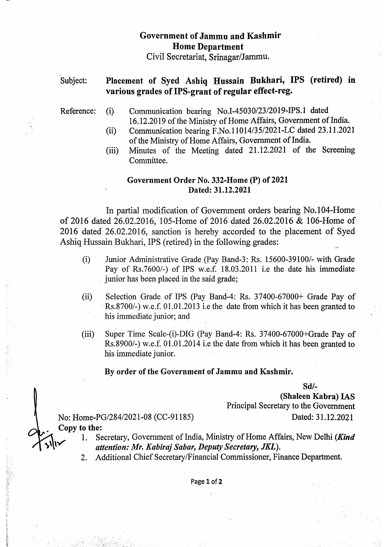## Government ofJammu and Kashmir Home Department Civil Secretariat, Srinagar/Jammu..

## Placement of Syed Ashiq Hussain Bukhari, IPS (retired) in various grades of IPS-grant of regular effect-reg. Subject:

- Reference: (i) Communication bearing No.I-45030/23/2019-IPS.1 dated 16.12.2019 of the Ministry of Home Affairs, Government of India.
	- (ii) Communication bearing F.No.11014/35/2021-LC dated 23.11.2021 of the Ministry of Home Affairs, Government of India.
	- (ii) Minutes of the Meeting dated 21.12.2021 of the Screening Committee.

## Government Order No. 332-Home (P) of 2021 Dated: 31.12.2021

In partial modification of Government orders bearing No.104-Home of 2016 dated 26.02.2016, 105-Home of 2016 dated 26.02.2016 & 106-Home of 2016 dated 26.02.2016, sanction is hereby accorded to the placement of Syed Ashiq Hussain Bukhari, IPS (retired) in the following grades:

- $(i)$ Junior Administrative Grade (Pay Band-3: Rs. 15600-39100/- with Grade Pay of Rs.7600/-) of IPS w.e.f. 18.03.2011 i.e the date his immediate junior has been placed in the said grade;
- Selection Grade of IPS (Pay Band-4: Rs. 37400-67000+ Grade Pay of Rs.8700/-) w.e.f. 01.01.2013 i.e the date from which it has been granted to his immediate junior; and (i)
- ii) Super Time Scale-(i)-DIG (Pay Band-4: Rs. 37400-67000+Grade Pay of Rs.8900/-) w.e.f. 01.01.2014 i.e the date from which it has been granted to his immediate junior.

## By order of the Government of Jammu and Kashmir.

Sd/

(Shaleen Kabra) LAS Principal Secretary to the Government

No: Home-PG/284/2021-08 (CC-91185) Dated: 31.12.2021 Copy to the:<br> $\frac{1}{1}$ . Se

- Secretary, Government of India, Ministry of Home Affairs, New Delhi (Kind attention: Mr. Kabiraj Sabar, Deputy Secretary, JKL).
- 2. Additional Chief Secretary/Financial Commissioner, Finance Department.

Page 1 of 2